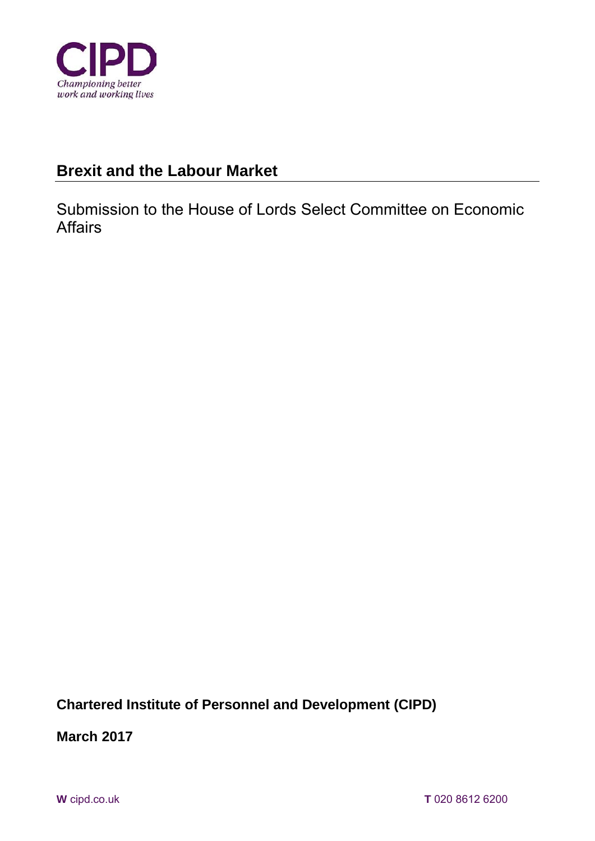

# **Brexit and the Labour Market**

Submission to the House of Lords Select Committee on Economic Affairs

**Chartered Institute of Personnel and Development (CIPD)** 

**March 2017**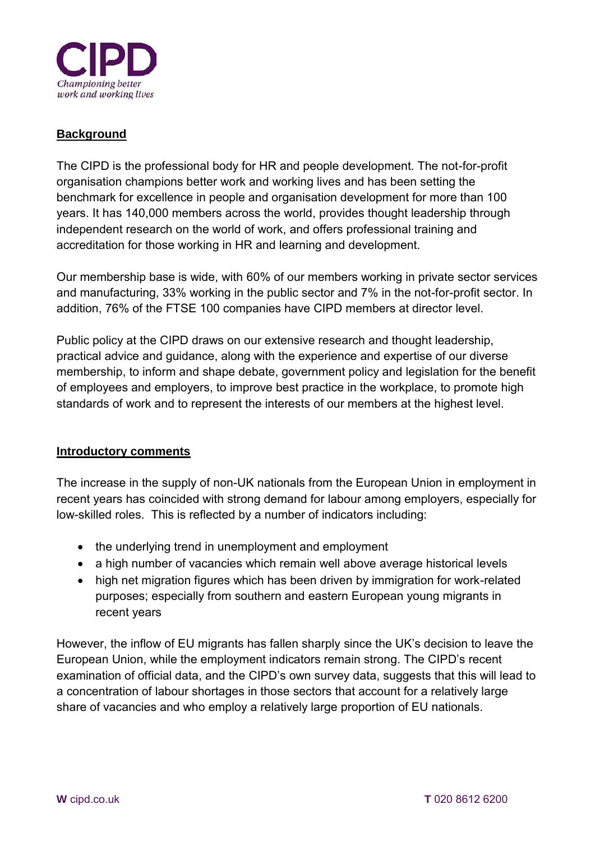

# **Background**

The CIPD is the professional body for HR and people development. The not-for-profit organisation champions better work and working lives and has been setting the benchmark for excellence in people and organisation development for more than 100 years. It has 140,000 members across the world, provides thought leadership through independent research on the world of work, and offers professional training and accreditation for those working in HR and learning and development.

Our membership base is wide, with 60% of our members working in private sector services and manufacturing, 33% working in the public sector and 7% in the not-for-profit sector. In addition, 76% of the FTSE 100 companies have CIPD members at director level.

Public policy at the CIPD draws on our extensive research and thought leadership, practical advice and guidance, along with the experience and expertise of our diverse membership, to inform and shape debate, government policy and legislation for the benefit of employees and employers, to improve best practice in the workplace, to promote high standards of work and to represent the interests of our members at the highest level.

#### **Introductory comments**

The increase in the supply of non-UK nationals from the European Union in employment in recent years has coincided with strong demand for labour among employers, especially for low-skilled roles. This is reflected by a number of indicators including:

- the underlying trend in unemployment and employment
- a high number of vacancies which remain well above average historical levels
- high net migration figures which has been driven by immigration for work-related purposes; especially from southern and eastern European young migrants in recent years

However, the inflow of EU migrants has fallen sharply since the UK's decision to leave the European Union, while the employment indicators remain strong. The CIPD's recent examination of official data, and the CIPD's own survey data, suggests that this will lead to a concentration of labour shortages in those sectors that account for a relatively large share of vacancies and who employ a relatively large proportion of EU nationals.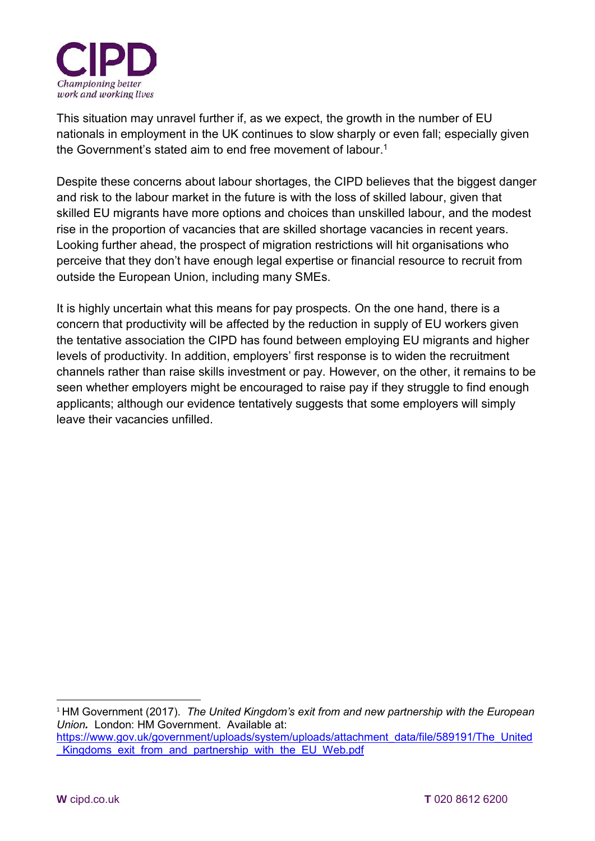

This situation may unravel further if, as we expect, the growth in the number of EU nationals in employment in the UK continues to slow sharply or even fall; especially given the Government's stated aim to end free movement of labour.<sup>1</sup>

Despite these concerns about labour shortages, the CIPD believes that the biggest danger and risk to the labour market in the future is with the loss of skilled labour, given that skilled EU migrants have more options and choices than unskilled labour, and the modest rise in the proportion of vacancies that are skilled shortage vacancies in recent years. Looking further ahead, the prospect of migration restrictions will hit organisations who perceive that they don't have enough legal expertise or financial resource to recruit from outside the European Union, including many SMEs.

It is highly uncertain what this means for pay prospects. On the one hand, there is a concern that productivity will be affected by the reduction in supply of EU workers given the tentative association the CIPD has found between employing EU migrants and higher levels of productivity. In addition, employers' first response is to widen the recruitment channels rather than raise skills investment or pay. However, on the other, it remains to be seen whether employers might be encouraged to raise pay if they struggle to find enough applicants; although our evidence tentatively suggests that some employers will simply leave their vacancies unfilled.

<sup>1</sup> HM Government (2017). *The United Kingdom's exit from and new partnership with the European Union.* London: HM Government. Available at: [https://www.gov.uk/government/uploads/system/uploads/attachment\\_data/file/589191/The\\_United](https://www.gov.uk/government/uploads/system/uploads/attachment_data/file/589191/The_United_Kingdoms_exit_from_and_partnership_with_the_EU_Web.pdf) Kingdoms\_exit\_from\_and\_partnership\_with\_the\_EU\_Web.pdf

-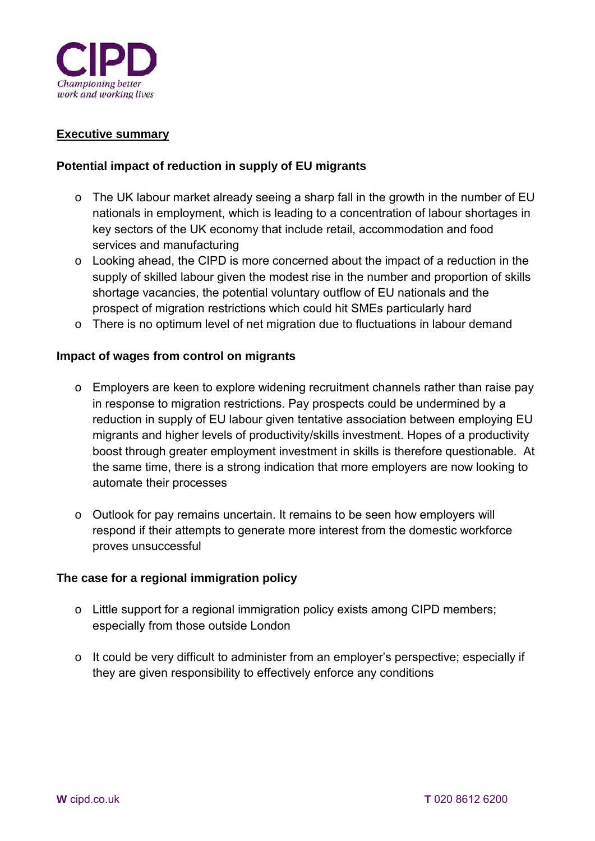

#### **Executive summary**

#### **Potential impact of reduction in supply of EU migrants**

- o The UK labour market already seeing a sharp fall in the growth in the number of EU nationals in employment, which is leading to a concentration of labour shortages in key sectors of the UK economy that include retail, accommodation and food services and manufacturing
- o Looking ahead, the CIPD is more concerned about the impact of a reduction in the supply of skilled labour given the modest rise in the number and proportion of skills shortage vacancies, the potential voluntary outflow of EU nationals and the prospect of migration restrictions which could hit SMEs particularly hard
- o There is no optimum level of net migration due to fluctuations in labour demand

#### **Impact of wages from control on migrants**

- o Employers are keen to explore widening recruitment channels rather than raise pay in response to migration restrictions. Pay prospects could be undermined by a reduction in supply of EU labour given tentative association between employing EU migrants and higher levels of productivity/skills investment. Hopes of a productivity boost through greater employment investment in skills is therefore questionable. At the same time, there is a strong indication that more employers are now looking to automate their processes
- o Outlook for pay remains uncertain. It remains to be seen how employers will respond if their attempts to generate more interest from the domestic workforce proves unsuccessful

#### **The case for a regional immigration policy**

- o Little support for a regional immigration policy exists among CIPD members; especially from those outside London
- o It could be very difficult to administer from an employer's perspective; especially if they are given responsibility to effectively enforce any conditions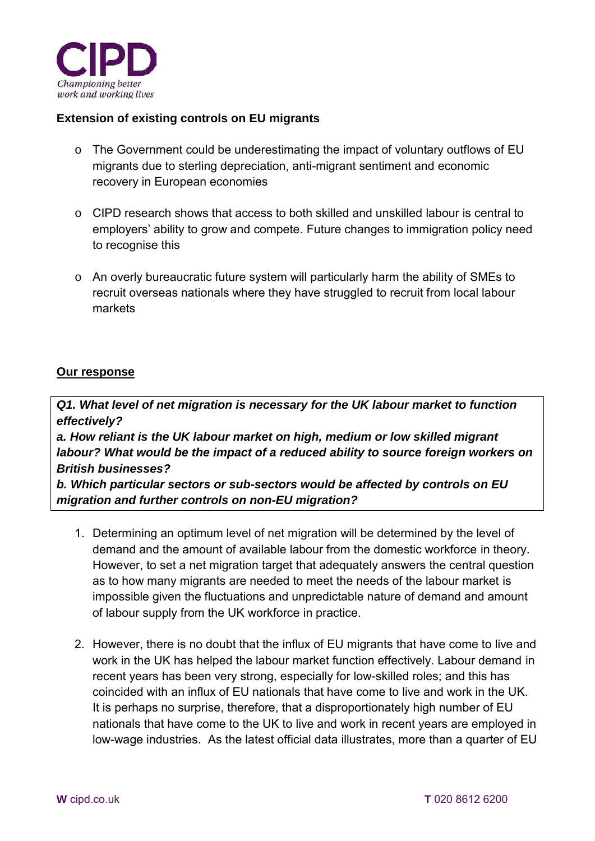

# **Extension of existing controls on EU migrants**

- o The Government could be underestimating the impact of voluntary outflows of EU migrants due to sterling depreciation, anti-migrant sentiment and economic recovery in European economies
- o CIPD research shows that access to both skilled and unskilled labour is central to employers' ability to grow and compete. Future changes to immigration policy need to recognise this
- o An overly bureaucratic future system will particularly harm the ability of SMEs to recruit overseas nationals where they have struggled to recruit from local labour markets

# **Our response**

*Q1. What level of net migration is necessary for the UK labour market to function effectively? a. How reliant is the UK labour market on high, medium or low skilled migrant labour? What would be the impact of a reduced ability to source foreign workers on British businesses? b. Which particular sectors or sub-sectors would be affected by controls on EU migration and further controls on non-EU migration?* 

- 1. Determining an optimum level of net migration will be determined by the level of demand and the amount of available labour from the domestic workforce in theory. However, to set a net migration target that adequately answers the central question as to how many migrants are needed to meet the needs of the labour market is impossible given the fluctuations and unpredictable nature of demand and amount of labour supply from the UK workforce in practice.
- 2. However, there is no doubt that the influx of EU migrants that have come to live and work in the UK has helped the labour market function effectively. Labour demand in recent years has been very strong, especially for low-skilled roles; and this has coincided with an influx of EU nationals that have come to live and work in the UK. It is perhaps no surprise, therefore, that a disproportionately high number of EU nationals that have come to the UK to live and work in recent years are employed in low-wage industries. As the latest official data illustrates, more than a quarter of EU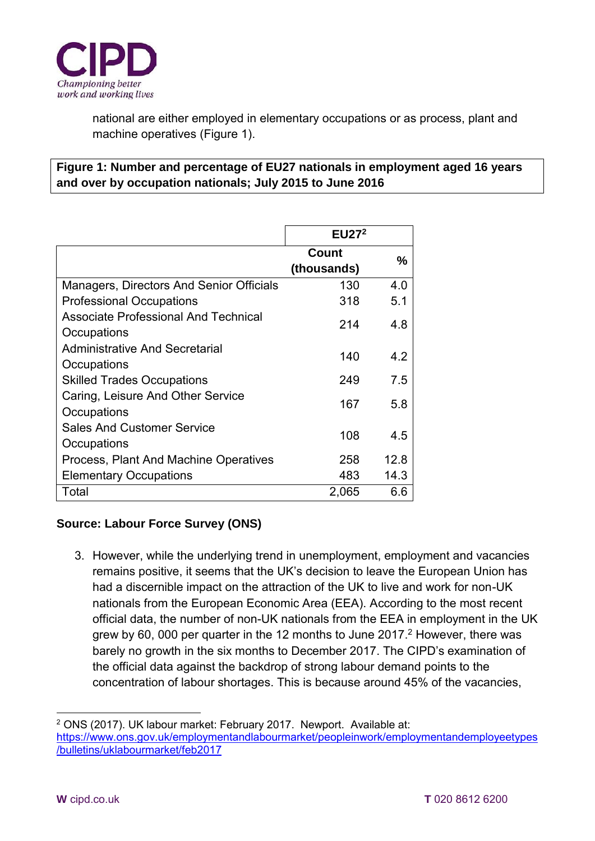

national are either employed in elementary occupations or as process, plant and machine operatives (Figure 1).

# **Figure 1: Number and percentage of EU27 nationals in employment aged 16 years and over by occupation nationals; July 2015 to June 2016**

|                                                            | EU27 <sup>2</sup>    |      |
|------------------------------------------------------------|----------------------|------|
|                                                            | Count<br>(thousands) | %    |
| Managers, Directors And Senior Officials                   | 130                  | 4.0  |
| <b>Professional Occupations</b>                            | 318                  | 5.1  |
| <b>Associate Professional And Technical</b><br>Occupations | 214                  | 48   |
| <b>Administrative And Secretarial</b><br>Occupations       | 140                  | 4.2  |
| <b>Skilled Trades Occupations</b>                          | 249                  | 7.5  |
| Caring, Leisure And Other Service<br>Occupations           | 167                  | 5.8  |
| <b>Sales And Customer Service</b><br>Occupations           | 108                  | 4.5  |
| Process, Plant And Machine Operatives                      | 258                  | 12.8 |
| <b>Elementary Occupations</b>                              | 483                  | 14.3 |
| Total                                                      | 2,065                | 6.6  |

# **Source: Labour Force Survey (ONS)**

3. However, while the underlying trend in unemployment, employment and vacancies remains positive, it seems that the UK's decision to leave the European Union has had a discernible impact on the attraction of the UK to live and work for non-UK nationals from the European Economic Area (EEA). According to the most recent official data, the number of non-UK nationals from the EEA in employment in the UK grew by 60, 000 per quarter in the 12 months to June 2017.<sup>2</sup> However, there was barely no growth in the six months to December 2017. The CIPD's examination of the official data against the backdrop of strong labour demand points to the concentration of labour shortages. This is because around 45% of the vacancies,

<sup>-</sup>2 ONS (2017). UK labour market: February 2017. Newport. Available at: [https://www.ons.gov.uk/employmentandlabourmarket/peopleinwork/employmentandemployeetypes](https://www.ons.gov.uk/employmentandlabourmarket/peopleinwork/employmentandemployeetypes/bulletins/uklabourmarket/feb2017) [/bulletins/uklabourmarket/feb2017](https://www.ons.gov.uk/employmentandlabourmarket/peopleinwork/employmentandemployeetypes/bulletins/uklabourmarket/feb2017)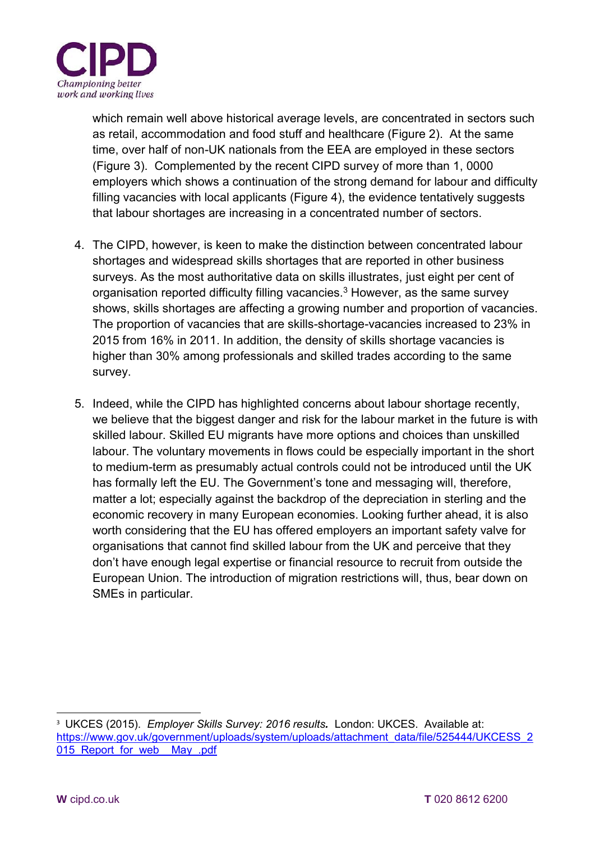

which remain well above historical average levels, are concentrated in sectors such as retail, accommodation and food stuff and healthcare (Figure 2). At the same time, over half of non-UK nationals from the EEA are employed in these sectors (Figure 3). Complemented by the recent CIPD survey of more than 1, 0000 employers which shows a continuation of the strong demand for labour and difficulty filling vacancies with local applicants (Figure 4), the evidence tentatively suggests that labour shortages are increasing in a concentrated number of sectors.

- 4. The CIPD, however, is keen to make the distinction between concentrated labour shortages and widespread skills shortages that are reported in other business surveys. As the most authoritative data on skills illustrates, just eight per cent of organisation reported difficulty filling vacancies.<sup>3</sup> However, as the same survey shows, skills shortages are affecting a growing number and proportion of vacancies. The proportion of vacancies that are skills-shortage-vacancies increased to 23% in 2015 from 16% in 2011. In addition, the density of skills shortage vacancies is higher than 30% among professionals and skilled trades according to the same survey.
- 5. Indeed, while the CIPD has highlighted concerns about labour shortage recently, we believe that the biggest danger and risk for the labour market in the future is with skilled labour. Skilled EU migrants have more options and choices than unskilled labour. The voluntary movements in flows could be especially important in the short to medium-term as presumably actual controls could not be introduced until the UK has formally left the EU. The Government's tone and messaging will, therefore, matter a lot; especially against the backdrop of the depreciation in sterling and the economic recovery in many European economies. Looking further ahead, it is also worth considering that the EU has offered employers an important safety valve for organisations that cannot find skilled labour from the UK and perceive that they don't have enough legal expertise or financial resource to recruit from outside the European Union. The introduction of migration restrictions will, thus, bear down on SMEs in particular.

<sup>-</sup><sup>3</sup> UKCES (2015). *Employer Skills Survey: 2016 results.* London: UKCES. Available at: [https://www.gov.uk/government/uploads/system/uploads/attachment\\_data/file/525444/UKCESS\\_2](https://www.gov.uk/government/uploads/system/uploads/attachment_data/file/525444/UKCESS_2015_Report_for_web__May_.pdf) [015\\_Report\\_for\\_web\\_\\_May\\_.pdf](https://www.gov.uk/government/uploads/system/uploads/attachment_data/file/525444/UKCESS_2015_Report_for_web__May_.pdf)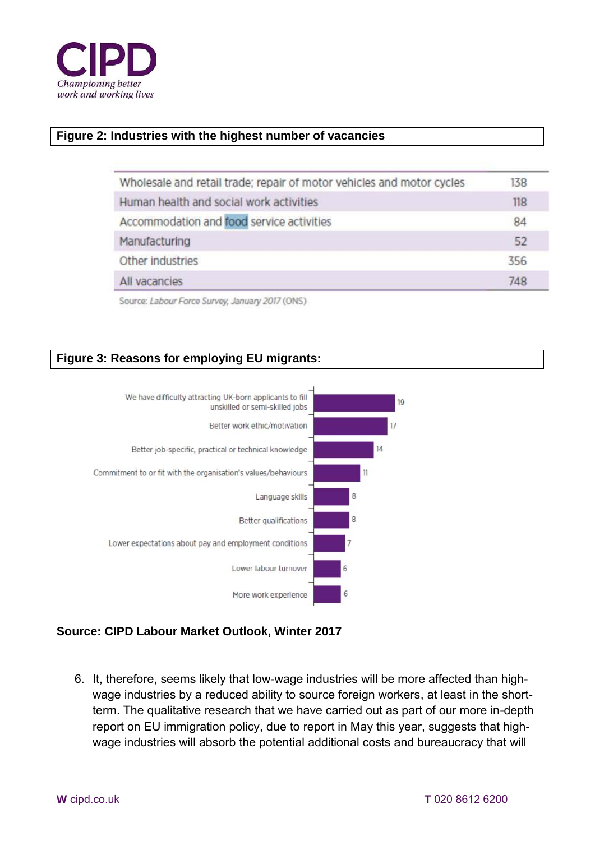

#### **Figure 2: Industries with the highest number of vacancies**

| Wholesale and retail trade; repair of motor vehicles and motor cycles | 138 |
|-----------------------------------------------------------------------|-----|
| Human health and social work activities                               | 118 |
| Accommodation and food service activities                             | 84  |
| Manufacturing                                                         | 52  |
| Other industries                                                      | 356 |
| All vacancies                                                         | 748 |
|                                                                       |     |

Source: Labour Force Survey, January 2017 (ONS)

# **Figure 3: Reasons for employing EU migrants:**



# **Source: CIPD Labour Market Outlook, Winter 2017**

6. It, therefore, seems likely that low-wage industries will be more affected than highwage industries by a reduced ability to source foreign workers, at least in the shortterm. The qualitative research that we have carried out as part of our more in-depth report on EU immigration policy, due to report in May this year, suggests that highwage industries will absorb the potential additional costs and bureaucracy that will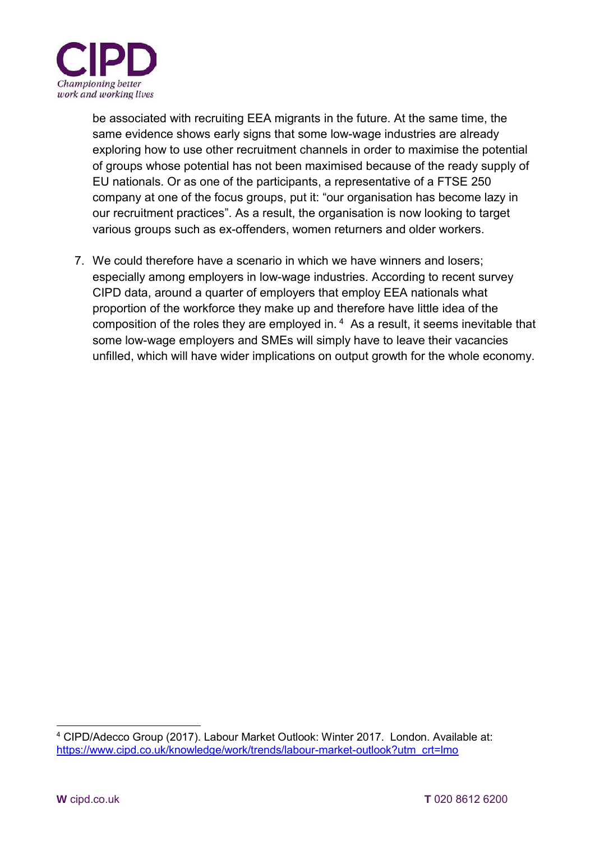

be associated with recruiting EEA migrants in the future. At the same time, the same evidence shows early signs that some low-wage industries are already exploring how to use other recruitment channels in order to maximise the potential of groups whose potential has not been maximised because of the ready supply of EU nationals. Or as one of the participants, a representative of a FTSE 250 company at one of the focus groups, put it: "our organisation has become lazy in our recruitment practices". As a result, the organisation is now looking to target various groups such as ex-offenders, women returners and older workers.

7. We could therefore have a scenario in which we have winners and losers; especially among employers in low-wage industries. According to recent survey CIPD data, around a quarter of employers that employ EEA nationals what proportion of the workforce they make up and therefore have little idea of the composition of the roles they are employed in. <sup>4</sup> As a result, it seems inevitable that some low-wage employers and SMEs will simply have to leave their vacancies unfilled, which will have wider implications on output growth for the whole economy.

<sup>-</sup>4 CIPD/Adecco Group (2017). Labour Market Outlook: Winter 2017. London. Available at: [https://www.cipd.co.uk/knowledge/work/trends/labour-market-outlook?utm\\_crt=lmo](https://www.cipd.co.uk/knowledge/work/trends/labour-market-outlook?utm_crt=lmo)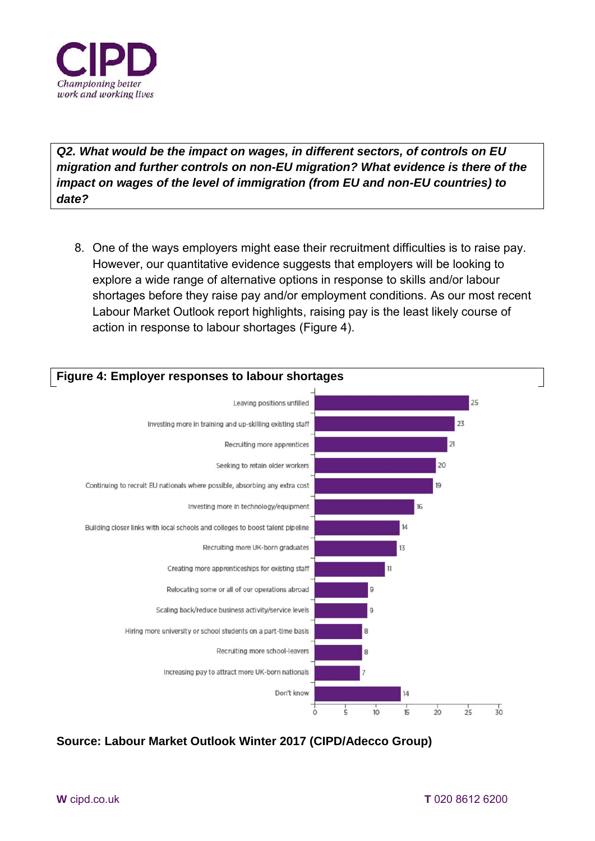

*Q2. What would be the impact on wages, in different sectors, of controls on EU migration and further controls on non-EU migration? What evidence is there of the impact on wages of the level of immigration (from EU and non-EU countries) to date?* 

8. One of the ways employers might ease their recruitment difficulties is to raise pay. However, our quantitative evidence suggests that employers will be looking to explore a wide range of alternative options in response to skills and/or labour shortages before they raise pay and/or employment conditions. As our most recent Labour Market Outlook report highlights, raising pay is the least likely course of action in response to labour shortages (Figure 4).



**Source: Labour Market Outlook Winter 2017 (CIPD/Adecco Group)**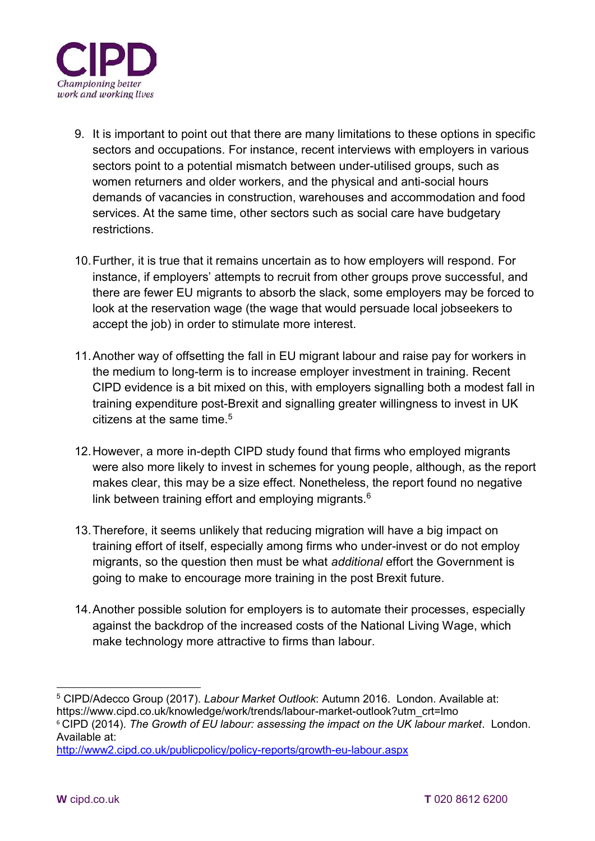

- 9. It is important to point out that there are many limitations to these options in specific sectors and occupations. For instance, recent interviews with employers in various sectors point to a potential mismatch between under-utilised groups, such as women returners and older workers, and the physical and anti-social hours demands of vacancies in construction, warehouses and accommodation and food services. At the same time, other sectors such as social care have budgetary restrictions.
- 10. Further, it is true that it remains uncertain as to how employers will respond. For instance, if employers' attempts to recruit from other groups prove successful, and there are fewer EU migrants to absorb the slack, some employers may be forced to look at the reservation wage (the wage that would persuade local jobseekers to accept the job) in order to stimulate more interest.
- 11. Another way of offsetting the fall in EU migrant labour and raise pay for workers in the medium to long-term is to increase employer investment in training. Recent CIPD evidence is a bit mixed on this, with employers signalling both a modest fall in training expenditure post-Brexit and signalling greater willingness to invest in UK citizens at the same time.<sup>5</sup>
- 12. However, a more in-depth CIPD study found that firms who employed migrants were also more likely to invest in schemes for young people, although, as the report makes clear, this may be a size effect. Nonetheless, the report found no negative link between training effort and employing migrants. $6$
- 13. Therefore, it seems unlikely that reducing migration will have a big impact on training effort of itself, especially among firms who under-invest or do not employ migrants, so the question then must be what *additional* effort the Government is going to make to encourage more training in the post Brexit future.
- 14. Another possible solution for employers is to automate their processes, especially against the backdrop of the increased costs of the National Living Wage, which make technology more attractive to firms than labour.

<sup>-</sup>5 CIPD/Adecco Group (2017). *Labour Market Outlook*: Autumn 2016. London. Available at: https://www.cipd.co.uk/knowledge/work/trends/labour-market-outlook?utm\_crt=lmo

<sup>6</sup> CIPD (2014). *The Growth of EU labour: assessing the impact on the UK labour market*. London. Available at:

<http://www2.cipd.co.uk/publicpolicy/policy-reports/growth-eu-labour.aspx>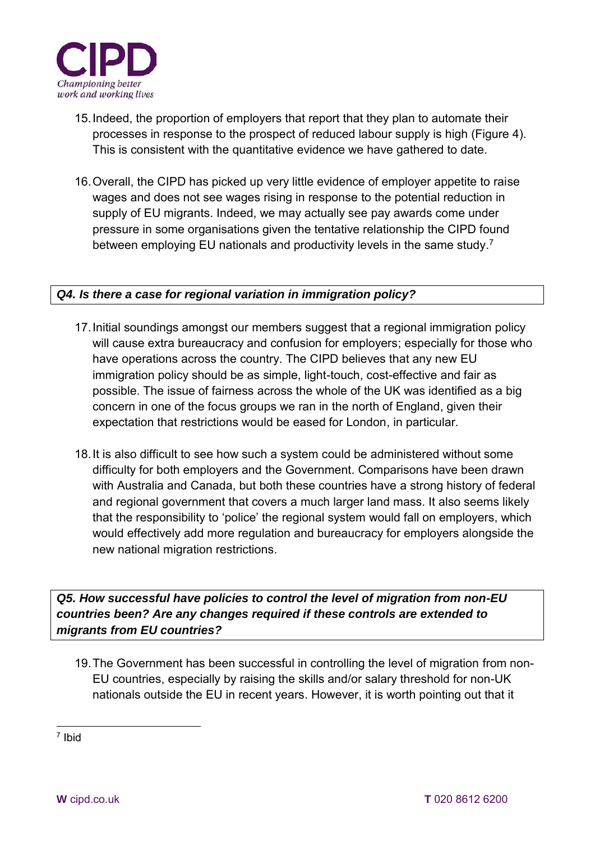

- 15. Indeed, the proportion of employers that report that they plan to automate their processes in response to the prospect of reduced labour supply is high (Figure 4). This is consistent with the quantitative evidence we have gathered to date.
- 16. Overall, the CIPD has picked up very little evidence of employer appetite to raise wages and does not see wages rising in response to the potential reduction in supply of EU migrants. Indeed, we may actually see pay awards come under pressure in some organisations given the tentative relationship the CIPD found between employing EU nationals and productivity levels in the same study.<sup>7</sup>

# *Q4. Is there a case for regional variation in immigration policy?*

- 17. Initial soundings amongst our members suggest that a regional immigration policy will cause extra bureaucracy and confusion for employers; especially for those who have operations across the country. The CIPD believes that any new EU immigration policy should be as simple, light-touch, cost-effective and fair as possible. The issue of fairness across the whole of the UK was identified as a big concern in one of the focus groups we ran in the north of England, given their expectation that restrictions would be eased for London, in particular.
- 18. It is also difficult to see how such a system could be administered without some difficulty for both employers and the Government. Comparisons have been drawn with Australia and Canada, but both these countries have a strong history of federal and regional government that covers a much larger land mass. It also seems likely that the responsibility to 'police' the regional system would fall on employers, which would effectively add more regulation and bureaucracy for employers alongside the new national migration restrictions.

*Q5. How successful have policies to control the level of migration from non-EU countries been? Are any changes required if these controls are extended to migrants from EU countries?* 

19. The Government has been successful in controlling the level of migration from non-EU countries, especially by raising the skills and/or salary threshold for non-UK nationals outside the EU in recent years. However, it is worth pointing out that it

-7 Ibid